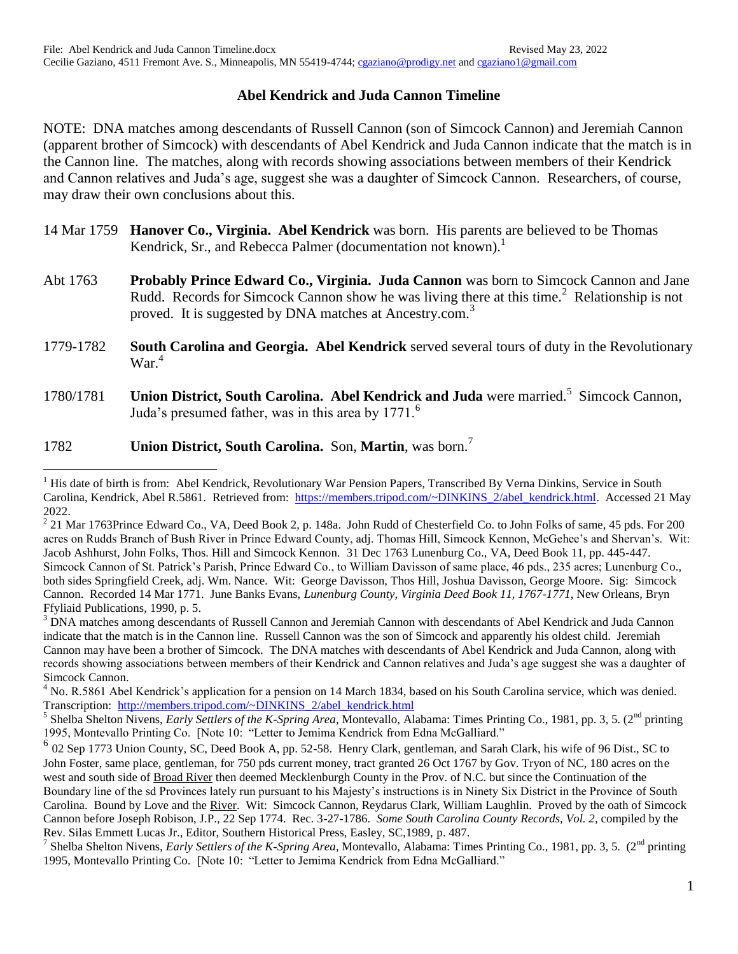## **Abel Kendrick and Juda Cannon Timeline**

NOTE: DNA matches among descendants of Russell Cannon (son of Simcock Cannon) and Jeremiah Cannon (apparent brother of Simcock) with descendants of Abel Kendrick and Juda Cannon indicate that the match is in the Cannon line. The matches, along with records showing associations between members of their Kendrick and Cannon relatives and Juda's age, suggest she was a daughter of Simcock Cannon. Researchers, of course, may draw their own conclusions about this.

- 14 Mar 1759 **Hanover Co., Virginia. Abel Kendrick** was born. His parents are believed to be Thomas Kendrick, Sr., and Rebecca Palmer (documentation not known).<sup>1</sup>
- Abt 1763 **Probably Prince Edward Co., Virginia. Juda Cannon** was born to Simcock Cannon and Jane Rudd. Records for Simcock Cannon show he was living there at this time.<sup>2</sup> Relationship is not proved. It is suggested by DNA matches at Ancestry.com.<sup>3</sup>
- 1779-1782 **South Carolina and Georgia. Abel Kendrick** served several tours of duty in the Revolutionary  $\text{War}^4$
- 1780/1781 **Union District, South Carolina. Abel Kendrick and Juda** were married.<sup>5</sup> Simcock Cannon, Juda's presumed father, was in this area by  $1771<sup>6</sup>$

## 1782 **Union District, South Carolina.** Son, **Martin**, was born.<sup>7</sup>

 $\overline{a}$ 

 $<sup>1</sup>$  His date of birth is from: Abel Kendrick, Revolutionary War Pension Papers, Transcribed By Verna Dinkins, Service in South</sup> Carolina, Kendrick, Abel R.5861. Retrieved from: [https://members.tripod.com/~DINKINS\\_2/abel\\_kendrick.html.](https://members.tripod.com/~DINKINS_2/abel_kendrick.html) Accessed 21 May 2022.

 $2$  21 Mar 1763Prince Edward Co., VA, Deed Book 2, p. 148a. John Rudd of Chesterfield Co. to John Folks of same, 45 pds. For 200 acres on Rudds Branch of Bush River in Prince Edward County, adj. Thomas Hill, Simcock Kennon, McGehee's and Shervan's. Wit: Jacob Ashhurst, John Folks, Thos. Hill and Simcock Kennon. 31 Dec 1763 Lunenburg Co., VA, Deed Book 11, pp. 445-447. Simcock Cannon of St. Patrick's Parish, Prince Edward Co., to William Davisson of same place, 46 pds., 235 acres; Lunenburg Co., both sides Springfield Creek, adj. Wm. Nance. Wit: George Davisson, Thos Hill, Joshua Davisson, George Moore. Sig: Simcock Cannon. Recorded 14 Mar 1771. June Banks Evans, *Lunenburg County, Virginia Deed Book 11, 1767-1771*, New Orleans, Bryn Ffyliaid Publications, 1990, p. 5.

<sup>&</sup>lt;sup>3</sup> DNA matches among descendants of Russell Cannon and Jeremiah Cannon with descendants of Abel Kendrick and Juda Cannon indicate that the match is in the Cannon line. Russell Cannon was the son of Simcock and apparently his oldest child. Jeremiah Cannon may have been a brother of Simcock. The DNA matches with descendants of Abel Kendrick and Juda Cannon, along with records showing associations between members of their Kendrick and Cannon relatives and Juda's age suggest she was a daughter of Simcock Cannon.

<sup>&</sup>lt;sup>4</sup> No. R.5861 Abel Kendrick's application for a pension on 14 March 1834, based on his South Carolina service, which was denied. Transcription: [http://members.tripod.com/~DINKINS\\_2/abel\\_kendrick.html](http://members.tripod.com/~DINKINS_2/abel_kendrick.html)

<sup>&</sup>lt;sup>5</sup> Shelba Shelton Nivens, *Early Settlers of the K-Spring Area*, Montevallo, Alabama: Times Printing Co., 1981, pp. 3, 5. (2<sup>nd</sup> printing 1995, Montevallo Printing Co. [Note 10: "Letter to Jemima Kendrick from Edna McGalliard."

<sup>&</sup>lt;sup>6</sup> 02 Sep 1773 Union County, SC, Deed Book A, pp. 52-58. Henry Clark, gentleman, and Sarah Clark, his wife of 96 Dist., SC to John Foster, same place, gentleman, for 750 pds current money, tract granted 26 Oct 1767 by Gov. Tryon of NC, 180 acres on the west and south side of Broad River then deemed Mecklenburgh County in the Prov. of N.C. but since the Continuation of the Boundary line of the sd Provinces lately run pursuant to his Majesty's instructions is in Ninety Six District in the Province of South Carolina. Bound by Love and the River. Wit: Simcock Cannon, Reydarus Clark, William Laughlin. Proved by the oath of Simcock Cannon before Joseph Robison, J.P., 22 Sep 1774. Rec. 3-27-1786. *Some South Carolina County Records, Vol. 2*, compiled by the Rev. Silas Emmett Lucas Jr., Editor, Southern Historical Press, Easley, SC,1989, p. 487.

<sup>&</sup>lt;sup>7</sup> Shelba Shelton Nivens, *Early Settlers of the K-Spring Area*, Montevallo, Alabama: Times Printing Co., 1981, pp. 3, 5. (2<sup>nd</sup> printing 1995, Montevallo Printing Co. [Note 10: "Letter to Jemima Kendrick from Edna McGalliard."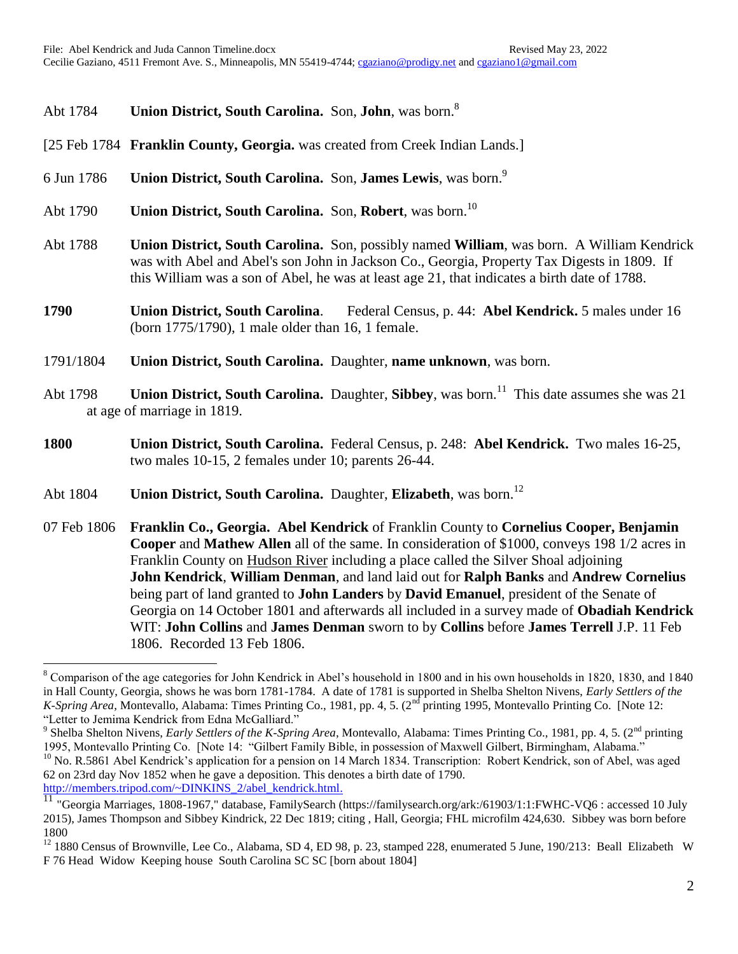## Abt 1784 **Union District, South Carolina.** Son, **John**, was born.<sup>8</sup>

- [25 Feb 1784 **Franklin County, Georgia.** was created from Creek Indian Lands.]
- 6 Jun 1786 **Union District, South Carolina.** Son, **James Lewis**, was born.<sup>9</sup>
- Abt 1790 **Union District, South Carolina.** Son, **Robert**, was born.<sup>10</sup>
- Abt 1788 **Union District, South Carolina.** Son, possibly named **William**, was born. A William Kendrick was with Abel and Abel's son John in Jackson Co., Georgia, Property Tax Digests in 1809. If this William was a son of Abel, he was at least age 21, that indicates a birth date of 1788.
- **1790 Union District, South Carolina**. Federal Census, p. 44: **Abel Kendrick.** 5 males under 16 (born 1775/1790), 1 male older than 16, 1 female.
- 1791/1804 **Union District, South Carolina.** Daughter, **name unknown**, was born.
- Abt 1798 **Union District, South Carolina.** Daughter, **Sibbey**, was born. 11 This date assumes she was 21 at age of marriage in 1819.
- **1800 Union District, South Carolina.** Federal Census, p. 248: **Abel Kendrick.** Two males 16-25, two males 10-15, 2 females under 10; parents 26-44.
- Abt 1804 **Union District, South Carolina.** Daughter, **Elizabeth**, was born.<sup>12</sup>
- 07 Feb 1806 **Franklin Co., Georgia. Abel Kendrick** of Franklin County to **Cornelius Cooper, Benjamin Cooper** and **Mathew Allen** all of the same. In consideration of \$1000, conveys 198 1/2 acres in Franklin County on Hudson River including a place called the Silver Shoal adjoining **John Kendrick**, **William Denman**, and land laid out for **Ralph Banks** and **Andrew Cornelius** being part of land granted to **John Landers** by **David Emanuel**, president of the Senate of Georgia on 14 October 1801 and afterwards all included in a survey made of **Obadiah Kendrick** WIT: **John Collins** and **James Denman** sworn to by **Collins** before **James Terrell** J.P. 11 Feb 1806. Recorded 13 Feb 1806.

[http://members.tripod.com/~DINKINS\\_2/abel\\_kendrick.html.](http://members.tripod.com/~DINKINS_2/abel_kendrick.html)

 $\overline{a}$ 

<sup>8</sup> Comparison of the age categories for John Kendrick in Abel's household in 1800 and in his own households in 1820, 1830, and 1840 in Hall County, Georgia, shows he was born 1781-1784. A date of 1781 is supported in Shelba Shelton Nivens, *Early Settlers of the K-Spring Area*, Montevallo, Alabama: Times Printing Co., 1981, pp. 4, 5. (2<sup>nd</sup> printing 1995, Montevallo Printing Co. [Note 12: "Letter to Jemima Kendrick from Edna McGalliard."

<sup>&</sup>lt;sup>9</sup> Shelba Shelton Nivens, *Early Settlers of the K-Spring Area*, Montevallo, Alabama: Times Printing Co., 1981, pp. 4, 5. (2<sup>nd</sup> printing 1995, Montevallo Printing Co. [Note 14: "Gilbert Family Bible, in possession of Maxwell Gilbert, Birmingham, Alabama." <sup>10</sup> No. R.5861 Abel Kendrick's application for a pension on 14 March 1834. Transcription: Robert Kendrick, son of Abel, was aged 62 on 23rd day Nov 1852 when he gave a deposition. This denotes a birth date of 1790.

<sup>&</sup>lt;sup>11</sup> "Georgia Marriages, 1808-1967," database, FamilySearch (https://familysearch.org/ark:/61903/1:1:FWHC-VQ6 : accessed 10 July 2015), James Thompson and Sibbey Kindrick, 22 Dec 1819; citing , Hall, Georgia; FHL microfilm 424,630. Sibbey was born before 1800

<sup>&</sup>lt;sup>12</sup> 1880 Census of Brownville, Lee Co., Alabama, SD 4, ED 98, p. 23, stamped 228, enumerated 5 June, 190/213: Beall Elizabeth W F 76 Head Widow Keeping house South Carolina SC SC [born about 1804]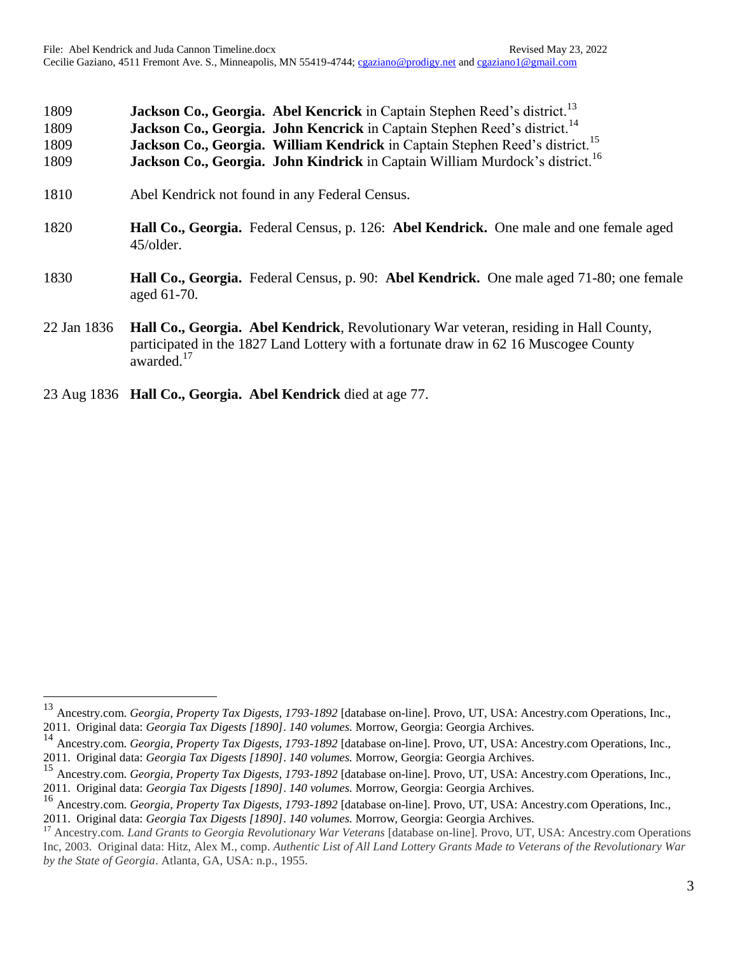| 1809<br>1809<br>1809 | Jackson Co., Georgia. Abel Kencrick in Captain Stephen Reed's district. <sup>13</sup><br>Jackson Co., Georgia. John Kencrick in Captain Stephen Reed's district. <sup>14</sup><br>Jackson Co., Georgia. William Kendrick in Captain Stephen Reed's district. <sup>15</sup> |
|----------------------|----------------------------------------------------------------------------------------------------------------------------------------------------------------------------------------------------------------------------------------------------------------------------|
| 1809                 | Jackson Co., Georgia. John Kindrick in Captain William Murdock's district. <sup>16</sup>                                                                                                                                                                                   |
| 1810                 | Abel Kendrick not found in any Federal Census.                                                                                                                                                                                                                             |
| 1820                 | <b>Hall Co., Georgia.</b> Federal Census, p. 126: <b>Abel Kendrick.</b> One male and one female aged<br>45/older.                                                                                                                                                          |
| 1830                 | Hall Co., Georgia. Federal Census, p. 90: Abel Kendrick. One male aged 71-80; one female<br>aged 61-70.                                                                                                                                                                    |
| 22 Jan 1836          | <b>Hall Co., Georgia. Abel Kendrick</b> , Revolutionary War veteran, residing in Hall County,<br>participated in the 1827 Land Lottery with a fortunate draw in 62 16 Muscogee County<br>awarded. <sup>17</sup>                                                            |

23 Aug 1836 **Hall Co., Georgia. Abel Kendrick** died at age 77.

 $\overline{a}$ 

<sup>13</sup> Ancestry.com. *Georgia, Property Tax Digests, 1793-1892* [database on-line]. Provo, UT, USA: Ancestry.com Operations, Inc., 2011. Original data: *Georgia Tax Digests [1890]*. *140 volumes.* Morrow, Georgia: Georgia Archives.

<sup>14</sup> Ancestry.com. *Georgia, Property Tax Digests, 1793-1892* [database on-line]. Provo, UT, USA: Ancestry.com Operations, Inc., 2011. Original data: *Georgia Tax Digests [1890]*. *140 volumes.* Morrow, Georgia: Georgia Archives.

<sup>15</sup> Ancestry.com. *Georgia, Property Tax Digests, 1793-1892* [database on-line]. Provo, UT, USA: Ancestry.com Operations, Inc., 2011. Original data: *Georgia Tax Digests [1890]*. *140 volumes.* Morrow, Georgia: Georgia Archives.

<sup>&</sup>lt;sup>16</sup> Ancestry.com. *Georgia, Property Tax Digests, 1793-1892* [database on-line]. Provo, UT, USA: Ancestry.com Operations, Inc., 2011. Original data: *Georgia Tax Digests [1890]*. *140 volumes.* Morrow, Georgia: Georgia Archives.

<sup>17</sup> Ancestry.com. *Land Grants to Georgia Revolutionary War Veterans* [database on-line]. Provo, UT, USA: Ancestry.com Operations Inc, 2003. Original data: Hitz, Alex M., comp. *Authentic List of All Land Lottery Grants Made to Veterans of the Revolutionary War by the State of Georgia*. Atlanta, GA, USA: n.p., 1955.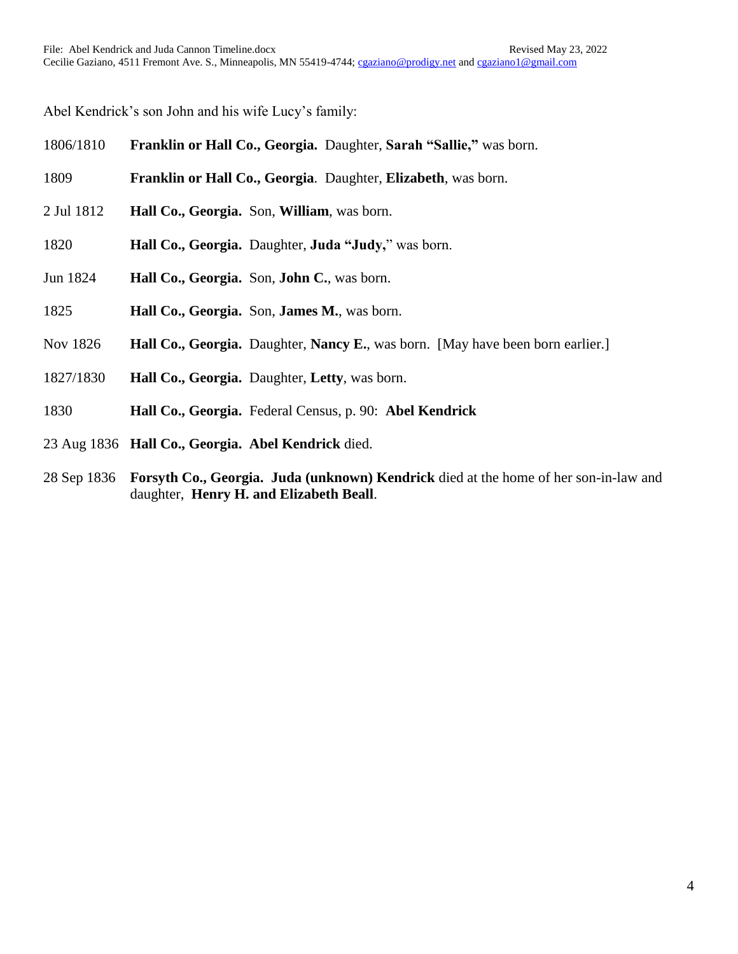Abel Kendrick's son John and his wife Lucy's family:

| 1806/1810  | Franklin or Hall Co., Georgia. Daughter, Sarah "Sallie," was born.                             |
|------------|------------------------------------------------------------------------------------------------|
| 1809       | Franklin or Hall Co., Georgia. Daughter, Elizabeth, was born.                                  |
| 2 Jul 1812 | Hall Co., Georgia. Son, William, was born.                                                     |
| 1820       | Hall Co., Georgia. Daughter, Juda "Judy," was born.                                            |
| Jun 1824   | Hall Co., Georgia. Son, John C., was born.                                                     |
| 1825       | Hall Co., Georgia. Son, James M., was born.                                                    |
| Nov 1826   | <b>Hall Co., Georgia.</b> Daughter, <b>Nancy E.</b> , was born. [May have been born earlier.]  |
| 1827/1830  | Hall Co., Georgia. Daughter, Letty, was born.                                                  |
| 1830       | Hall Co., Georgia. Federal Census, p. 90: Abel Kendrick                                        |
|            | 23 Aug 1836 Hall Co., Georgia. Abel Kendrick died.                                             |
|            | 28 Sep 1836 Forsyth Co., Georgia. Juda (unknown) Kendrick died at the home of her son-in-law a |

28 Sep 1836 **Forsyth Co., Georgia. Juda (unknown) Kendrick** died at the home of her son-in-law and daughter, **Henry H. and Elizabeth Beall**.